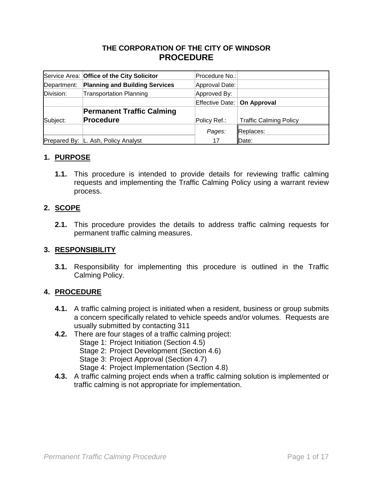### **THE CORPORATION OF THE CITY OF WINDSOR PROCEDURE**

|             | Service Area: Office of the City Solicitor | Procedure No.:                |                               |
|-------------|--------------------------------------------|-------------------------------|-------------------------------|
| Department: | <b>Planning and Building Services</b>      | Approval Date:                |                               |
| Division:   | <b>Transportation Planning</b>             | Approved By:                  |                               |
|             |                                            | Effective Date:   On Approval |                               |
|             | <b>Permanent Traffic Calming</b>           |                               |                               |
| Subject:    | <b>Procedure</b>                           | Policy Ref.:                  | <b>Traffic Calming Policy</b> |
|             |                                            | Pages:                        | Replaces:                     |
|             | Prepared By: L. Ash, Policy Analyst        | 17                            | Date:                         |

### **1. PURPOSE**

**1.1.** This procedure is intended to provide details for reviewing traffic calming requests and implementing the Traffic Calming Policy using a warrant review process.

### **2. SCOPE**

**2.1.** This procedure provides the details to address traffic calming requests for permanent traffic calming measures.

### **3. RESPONSIBILITY**

**3.1.** Responsibility for implementing this procedure is outlined in the Traffic Calming Policy.

### **4. PROCEDURE**

- **4.1.** A traffic calming project is initiated when a resident, business or group submits a concern specifically related to vehicle speeds and/or volumes. Requests are usually submitted by contacting 311
- **4.2.** There are four stages of a traffic calming project:
	- Stage 1: Project Initiation (Section 4.5)
	- Stage 2: Project Development (Section 4.6)
	- Stage 3: Project Approval (Section 4.7)
	- Stage 4: Project Implementation (Section 4.8)
- **4.3.** A traffic calming project ends when a traffic calming solution is implemented or traffic calming is not appropriate for implementation.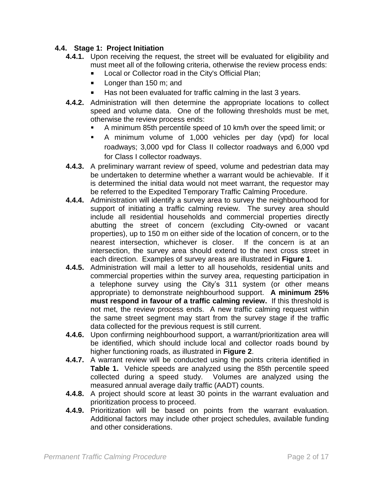### **4.4. Stage 1: Project Initiation**

- **4.4.1.** Upon receiving the request, the street will be evaluated for eligibility and must meet all of the following criteria, otherwise the review process ends:
	- Local or Collector road in the City's Official Plan;
	- **Longer than 150 m; and**
	- Has not been evaluated for traffic calming in the last 3 years.
- **4.4.2.** Administration will then determine the appropriate locations to collect speed and volume data. One of the following thresholds must be met, otherwise the review process ends:
	- A minimum 85th percentile speed of 10 km/h over the speed limit; or
	- A minimum volume of 1,000 vehicles per day (vpd) for local roadways; 3,000 vpd for Class II collector roadways and 6,000 vpd for Class I collector roadways.
- **4.4.3.** A preliminary warrant review of speed, volume and pedestrian data may be undertaken to determine whether a warrant would be achievable. If it is determined the initial data would not meet warrant, the requestor may be referred to the Expedited Temporary Traffic Calming Procedure.
- **4.4.4.** Administration will identify a survey area to survey the neighbourhood for support of initiating a traffic calming review. The survey area should include all residential households and commercial properties directly abutting the street of concern (excluding City-owned or vacant properties), up to 150 m on either side of the location of concern, or to the nearest intersection, whichever is closer. If the concern is at an intersection, the survey area should extend to the next cross street in each direction. Examples of survey areas are illustrated in **Figure 1**.
- **4.4.5.** Administration will mail a letter to all households, residential units and commercial properties within the survey area, requesting participation in a telephone survey using the City's 311 system (or other means appropriate) to demonstrate neighbourhood support. **A minimum 25% must respond in favour of a traffic calming review.** If this threshold is not met, the review process ends. A new traffic calming request within the same street segment may start from the survey stage if the traffic data collected for the previous request is still current.
- **4.4.6.** Upon confirming neighbourhood support, a warrant/prioritization area will be identified, which should include local and collector roads bound by higher functioning roads, as illustrated in **Figure 2**.
- **4.4.7.** A warrant review will be conducted using the points criteria identified in **Table 1.** Vehicle speeds are analyzed using the 85th percentile speed collected during a speed study. Volumes are analyzed using the measured annual average daily traffic (AADT) counts.
- **4.4.8.** A project should score at least 30 points in the warrant evaluation and prioritization process to proceed.
- **4.4.9.** Prioritization will be based on points from the warrant evaluation. Additional factors may include other project schedules, available funding and other considerations.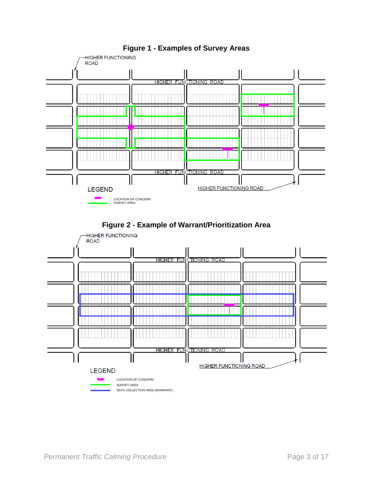

## **Figure 1 - Examples of Survey Areas**



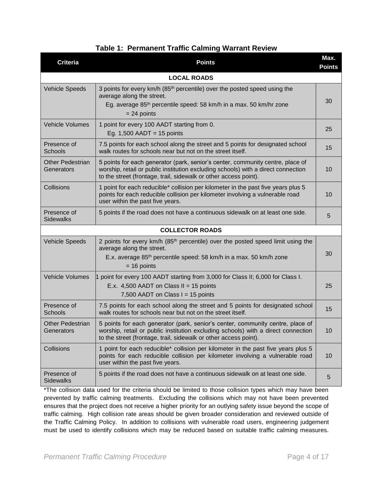| <b>Criteria</b>                       | <b>Points</b>                                                                                                                                                                                                                           | Max.<br><b>Points</b> |
|---------------------------------------|-----------------------------------------------------------------------------------------------------------------------------------------------------------------------------------------------------------------------------------------|-----------------------|
|                                       | <b>LOCAL ROADS</b>                                                                                                                                                                                                                      |                       |
| <b>Vehicle Speeds</b>                 | 3 points for every km/h (85 <sup>th</sup> percentile) over the posted speed using the<br>average along the street.<br>Eg. average 85 <sup>th</sup> percentile speed: 58 km/h in a max. 50 km/hr zone<br>$= 24$ points                   | 30                    |
| Vehicle Volumes                       | 1 point for every 100 AADT starting from 0.<br>Eg. $1,500$ AADT = 15 points                                                                                                                                                             | 25                    |
| Presence of<br><b>Schools</b>         | 7.5 points for each school along the street and 5 points for designated school<br>walk routes for schools near but not on the street itself.                                                                                            | 15                    |
| <b>Other Pedestrian</b><br>Generators | 5 points for each generator (park, senior's center, community centre, place of<br>worship, retail or public institution excluding schools) with a direct connection<br>to the street (frontage, trail, sidewalk or other access point). | 10                    |
| Collisions                            | 1 point for each reducible* collision per kilometer in the past five years plus 5<br>points for each reducible collision per kilometer involving a vulnerable road<br>user within the past five years.                                  | 10                    |
| Presence of<br><b>Sidewalks</b>       | 5 points if the road does not have a continuous sidewalk on at least one side.                                                                                                                                                          | 5                     |
|                                       | <b>COLLECTOR ROADS</b>                                                                                                                                                                                                                  |                       |
| <b>Vehicle Speeds</b>                 | 2 points for every km/h (85 <sup>th</sup> percentile) over the posted speed limit using the<br>average along the street.<br>E.x. average 85 <sup>th</sup> percentile speed: 58 km/h in a max. 50 km/h zone<br>$= 16$ points             | 30                    |
| <b>Vehicle Volumes</b>                | 1 point for every 100 AADT starting from 3,000 for Class II; 6,000 for Class I.<br>E.x. 4,500 AADT on Class II = 15 points<br>7,500 AADT on Class $I = 15$ points                                                                       | 25                    |
| Presence of<br>Schools                | 7.5 points for each school along the street and 5 points for designated school<br>walk routes for schools near but not on the street itself.                                                                                            | 15                    |
| <b>Other Pedestrian</b><br>Generators | 5 points for each generator (park, senior's center, community centre, place of<br>worship, retail or public institution excluding schools) with a direct connection<br>to the street (frontage, trail, sidewalk or other access point). | 10                    |
| Collisions                            | 1 point for each reducible* collision per kilometer in the past five years plus 5<br>points for each reducible collision per kilometer involving a vulnerable road<br>user within the past five years.                                  | 10                    |
| Presence of<br><b>Sidewalks</b>       | 5 points if the road does not have a continuous sidewalk on at least one side.                                                                                                                                                          | 5                     |

\*The collision data used for the criteria should be limited to those collision types which may have been prevented by traffic calming treatments. Excluding the collisions which may not have been prevented ensures that the project does not receive a higher priority for an outlying safety issue beyond the scope of traffic calming. High collision rate areas should be given broader consideration and reviewed outside of the Traffic Calming Policy. In addition to collisions with vulnerable road users, engineering judgement must be used to identify collisions which may be reduced based on suitable traffic calming measures.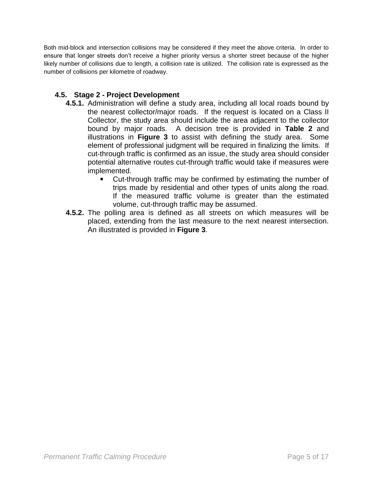Both mid-block and intersection collisions may be considered if they meet the above criteria. In order to ensure that longer streets don't receive a higher priority versus a shorter street because of the higher likely number of collisions due to length, a collision rate is utilized. The collision rate is expressed as the number of collisions per kilometre of roadway.

### **4.5. Stage 2 - Project Development**

- **4.5.1.** Administration will define a study area, including all local roads bound by the nearest collector/major roads. If the request is located on a Class II Collector, the study area should include the area adjacent to the collector bound by major roads. A decision tree is provided in **Table 2** and illustrations in **Figure 3** to assist with defining the study area. Some element of professional judgment will be required in finalizing the limits. If cut-through traffic is confirmed as an issue, the study area should consider potential alternative routes cut-through traffic would take if measures were implemented.
	- Cut-through traffic may be confirmed by estimating the number of trips made by residential and other types of units along the road. If the measured traffic volume is greater than the estimated volume, cut-through traffic may be assumed.
- **4.5.2.** The polling area is defined as all streets on which measures will be placed, extending from the last measure to the next nearest intersection. An illustrated is provided in **Figure 3**.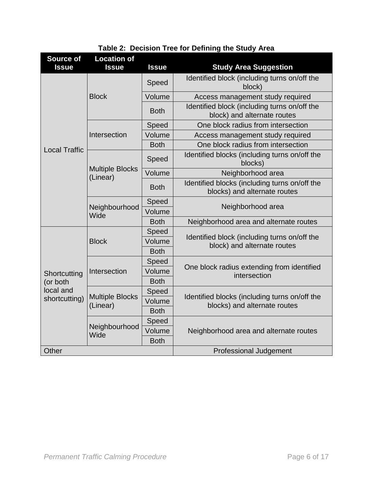| <b>Source of</b><br><b>Issue</b> | <b>Location of</b><br><b>Issue</b> | <b>Issue</b> | <b>Study Area Suggestion</b>                                                  |  |
|----------------------------------|------------------------------------|--------------|-------------------------------------------------------------------------------|--|
|                                  |                                    | Speed        | Identified block (including turns on/off the<br>block)                        |  |
|                                  | <b>Block</b>                       | Volume       | Access management study required                                              |  |
|                                  |                                    | <b>Both</b>  | Identified block (including turns on/off the<br>block) and alternate routes   |  |
|                                  |                                    | Speed        | One block radius from intersection                                            |  |
|                                  | Intersection                       | Volume       | Access management study required                                              |  |
| <b>Local Traffic</b>             |                                    | <b>Both</b>  | One block radius from intersection                                            |  |
|                                  |                                    | Speed        | Identified blocks (including turns on/off the<br>blocks)                      |  |
|                                  | <b>Multiple Blocks</b><br>(Linear) | Volume       | Neighborhood area                                                             |  |
|                                  |                                    | <b>Both</b>  | Identified blocks (including turns on/off the<br>blocks) and alternate routes |  |
|                                  | Neighbourhood<br>Wide              | Speed        | Neighborhood area                                                             |  |
|                                  |                                    | Volume       |                                                                               |  |
|                                  |                                    | <b>Both</b>  | Neighborhood area and alternate routes                                        |  |
|                                  | <b>Block</b>                       | Speed        | Identified block (including turns on/off the                                  |  |
|                                  |                                    | Volume       | block) and alternate routes                                                   |  |
|                                  |                                    | <b>Both</b>  |                                                                               |  |
|                                  |                                    | Speed        | One block radius extending from identified                                    |  |
| Shortcutting                     | Intersection                       | Volume       | intersection                                                                  |  |
| (or both                         |                                    | <b>Both</b>  |                                                                               |  |
| local and                        | <b>Multiple Blocks</b>             | Speed        | Identified blocks (including turns on/off the                                 |  |
| shortcutting)                    | (Linear)                           | Volume       | blocks) and alternate routes                                                  |  |
|                                  |                                    | <b>Both</b>  |                                                                               |  |
|                                  |                                    | Speed        |                                                                               |  |
|                                  | Neighbourhood<br>Wide              | Volume       | Neighborhood area and alternate routes                                        |  |
|                                  |                                    | <b>Both</b>  |                                                                               |  |
| Other                            |                                    |              | <b>Professional Judgement</b>                                                 |  |

# **Table 2: Decision Tree for Defining the Study Area**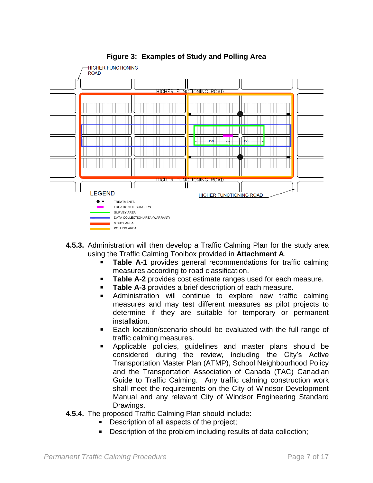

## **Figure 3: Examples of Study and Polling Area**

- **4.5.3.** Administration will then develop a Traffic Calming Plan for the study area using the Traffic Calming Toolbox provided in **Attachment A**.
	- **Table A-1** provides general recommendations for traffic calming measures according to road classification.
	- **Table A-2** provides cost estimate ranges used for each measure.
	- **Table A-3** provides a brief description of each measure.
	- Administration will continue to explore new traffic calming measures and may test different measures as pilot projects to determine if they are suitable for temporary or permanent installation.
	- Each location/scenario should be evaluated with the full range of traffic calming measures.
	- Applicable policies, guidelines and master plans should be considered during the review, including the City's Active Transportation Master Plan (ATMP), School Neighbourhood Policy and the Transportation Association of Canada (TAC) Canadian Guide to Traffic Calming. Any traffic calming construction work shall meet the requirements on the City of Windsor Development Manual and any relevant City of Windsor Engineering Standard Drawings.
- **4.5.4.** The proposed Traffic Calming Plan should include:
	- Description of all aspects of the project;
	- Description of the problem including results of data collection;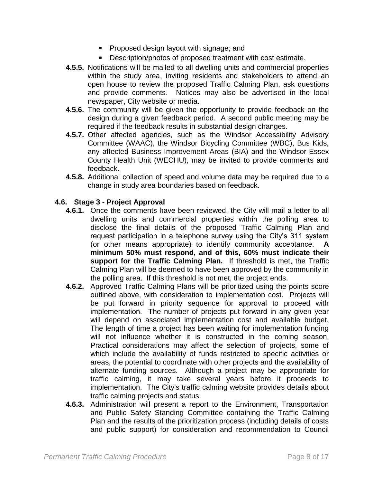- **Proposed design layout with signage; and**
- Description/photos of proposed treatment with cost estimate.
- **4.5.5.** Notifications will be mailed to all dwelling units and commercial properties within the study area, inviting residents and stakeholders to attend an open house to review the proposed Traffic Calming Plan, ask questions and provide comments. Notices may also be advertised in the local newspaper, City website or media.
- **4.5.6.** The community will be given the opportunity to provide feedback on the design during a given feedback period. A second public meeting may be required if the feedback results in substantial design changes.
- **4.5.7.** Other affected agencies, such as the Windsor Accessibility Advisory Committee (WAAC), the Windsor Bicycling Committee (WBC), Bus Kids, any affected Business Improvement Areas (BIA) and the Windsor-Essex County Health Unit (WECHU), may be invited to provide comments and feedback.
- **4.5.8.** Additional collection of speed and volume data may be required due to a change in study area boundaries based on feedback.

### **4.6. Stage 3 - Project Approval**

- **4.6.1.** Once the comments have been reviewed, the City will mail a letter to all dwelling units and commercial properties within the polling area to disclose the final details of the proposed Traffic Calming Plan and request participation in a telephone survey using the City's 311 system (or other means appropriate) to identify community acceptance. **A minimum 50% must respond, and of this, 60% must indicate their support for the Traffic Calming Plan.** If threshold is met, the Traffic Calming Plan will be deemed to have been approved by the community in the polling area. If this threshold is not met, the project ends.
- **4.6.2.** Approved Traffic Calming Plans will be prioritized using the points score outlined above, with consideration to implementation cost. Projects will be put forward in priority sequence for approval to proceed with implementation. The number of projects put forward in any given year will depend on associated implementation cost and available budget. The length of time a project has been waiting for implementation funding will not influence whether it is constructed in the coming season. Practical considerations may affect the selection of projects, some of which include the availability of funds restricted to specific activities or areas, the potential to coordinate with other projects and the availability of alternate funding sources. Although a project may be appropriate for traffic calming, it may take several years before it proceeds to implementation. The City's traffic calming website provides details about traffic calming projects and status.
- **4.6.3.** Administration will present a report to the Environment, Transportation and Public Safety Standing Committee containing the Traffic Calming Plan and the results of the prioritization process (including details of costs and public support) for consideration and recommendation to Council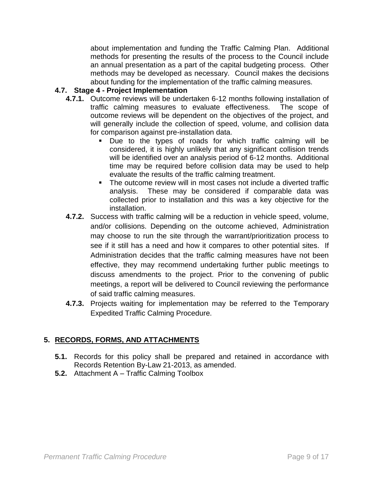about implementation and funding the Traffic Calming Plan. Additional methods for presenting the results of the process to the Council include an annual presentation as a part of the capital budgeting process. Other methods may be developed as necessary. Council makes the decisions about funding for the implementation of the traffic calming measures.

### **4.7. Stage 4 - Project Implementation**

- **4.7.1.** Outcome reviews will be undertaken 6-12 months following installation of traffic calming measures to evaluate effectiveness. The scope of outcome reviews will be dependent on the objectives of the project, and will generally include the collection of speed, volume, and collision data for comparison against pre-installation data.
	- Due to the types of roads for which traffic calming will be considered, it is highly unlikely that any significant collision trends will be identified over an analysis period of 6-12 months. Additional time may be required before collision data may be used to help evaluate the results of the traffic calming treatment.
	- The outcome review will in most cases not include a diverted traffic analysis. These may be considered if comparable data was collected prior to installation and this was a key objective for the installation.
- **4.7.2.** Success with traffic calming will be a reduction in vehicle speed, volume, and/or collisions. Depending on the outcome achieved, Administration may choose to run the site through the warrant/prioritization process to see if it still has a need and how it compares to other potential sites. If Administration decides that the traffic calming measures have not been effective, they may recommend undertaking further public meetings to discuss amendments to the project. Prior to the convening of public meetings, a report will be delivered to Council reviewing the performance of said traffic calming measures.
- **4.7.3.** Projects waiting for implementation may be referred to the Temporary Expedited Traffic Calming Procedure.

## **5. RECORDS, FORMS, AND ATTACHMENTS**

- **5.1.** Records for this policy shall be prepared and retained in accordance with Records Retention By-Law 21-2013, as amended.
- **5.2.** Attachment A Traffic Calming Toolbox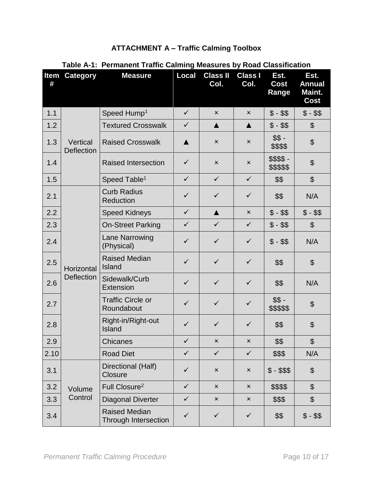| <b>ATTACHMENT A - Traffic Calming Toolbox</b> |  |  |  |  |
|-----------------------------------------------|--|--|--|--|
|-----------------------------------------------|--|--|--|--|

| #    | <b>Item Category</b>          | <b>Measure</b>                               | <b>Local</b>     | <b>Class II</b><br>Col.   | <b>Class I</b><br>Col.    | Est.<br><b>Cost</b><br>Range | Est.<br><b>Annual</b><br>Maint.<br><b>Cost</b> |
|------|-------------------------------|----------------------------------------------|------------------|---------------------------|---------------------------|------------------------------|------------------------------------------------|
| 1.1  |                               | Speed Hump <sup>1</sup>                      | $\checkmark$     | $\pmb{\times}$            | $\mathsf{x}$              | $$ - $$                      | $$ - $$                                        |
| 1.2  |                               | <b>Textured Crosswalk</b>                    | $\checkmark$     | $\blacktriangle$          | $\blacktriangle$          | $$ - $$                      | $\boldsymbol{\mathsf{S}}$                      |
| 1.3  | Vertical<br><b>Deflection</b> | <b>Raised Crosswalk</b>                      | $\blacktriangle$ | $\boldsymbol{\mathsf{x}}$ | $\pmb{\times}$            | $$S -$<br>\$\$\$\$           | $\boldsymbol{\theta}$                          |
| 1.4  |                               | <b>Raised Intersection</b>                   | $\checkmark$     | $\boldsymbol{\mathsf{x}}$ | x                         | \$\$\$\$-<br>\$\$\$\$\$      | $\boldsymbol{\mathsf{S}}$                      |
| 1.5  |                               | Speed Table <sup>1</sup>                     | $\checkmark$     | $\checkmark$              | $\checkmark$              | \$\$                         | $\boldsymbol{\mathsf{S}}$                      |
| 2.1  |                               | <b>Curb Radius</b><br>Reduction              | $\checkmark$     | $\checkmark$              | $\checkmark$              | \$\$                         | N/A                                            |
| 2.2  |                               | <b>Speed Kidneys</b>                         | $\checkmark$     | $\blacktriangle$          | $\mathsf{x}$              | $$ - $$                      | $$ - $$                                        |
| 2.3  |                               | <b>On-Street Parking</b>                     | $\checkmark$     | $\checkmark$              | $\checkmark$              | $$ - $$                      | $\boldsymbol{\mathsf{S}}$                      |
| 2.4  | Horizontal                    | <b>Lane Narrowing</b><br>(Physical)          | $\checkmark$     | $\checkmark$              | $\checkmark$              | $$ - $$                      | N/A                                            |
| 2.5  |                               | <b>Raised Median</b><br>Island               | $\checkmark$     | $\checkmark$              | $\checkmark$              | \$\$                         | $\boldsymbol{\theta}$                          |
| 2.6  | <b>Deflection</b>             | Sidewalk/Curb<br><b>Extension</b>            | $\checkmark$     | $\checkmark$              | $\checkmark$              | \$\$                         | N/A                                            |
| 2.7  |                               | <b>Traffic Circle or</b><br>Roundabout       | $\checkmark$     | $\checkmark$              | $\checkmark$              | $$S -$<br>\$\$\$\$\$         | $\boldsymbol{\theta}$                          |
| 2.8  |                               | Right-in/Right-out<br>Island                 | $\checkmark$     | $\checkmark$              | ✓                         | \$\$                         | $\boldsymbol{\mathsf{S}}$                      |
| 2.9  |                               | Chicanes                                     | $\checkmark$     | ×                         | $\pmb{\times}$            | \$\$                         | \$                                             |
| 2.10 |                               | <b>Road Diet</b>                             | $\checkmark$     | $\checkmark$              | $\checkmark$              | \$\$\$                       | N/A                                            |
| 3.1  |                               | Directional (Half)<br><b>Closure</b>         | $\checkmark$     | $\pmb{\times}$            | $\pmb{\times}$            | $$ - $$ \$                   | $\boldsymbol{\theta}$                          |
| 3.2  | Volume                        | Full Closure <sup>2</sup>                    | $\checkmark$     | $\boldsymbol{\mathsf{x}}$ | $\boldsymbol{\mathsf{x}}$ | \$\$\$\$                     | $\boldsymbol{\mathsf{S}}$                      |
| 3.3  | Control                       | <b>Diagonal Diverter</b>                     | $\checkmark$     | $\boldsymbol{\mathsf{x}}$ | $\pmb{\times}$            | \$\$\$                       | $\boldsymbol{\mathsf{S}}$                      |
| 3.4  |                               | <b>Raised Median</b><br>Through Intersection | $\checkmark$     | $\checkmark$              | $\checkmark$              | \$\$                         | $$ - $$                                        |

## **Table A-1: Permanent Traffic Calming Measures by Road Classification**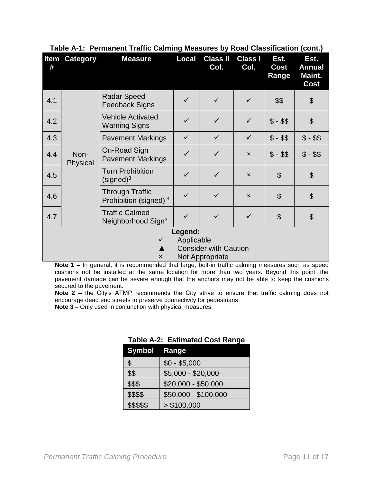| Item<br># | <b>Category</b>  | <b>Measure</b>                                              | <b>Local</b> | <b>Class II</b><br>Col.      | <b>Class I</b><br>Col.    | Est.<br>Cost<br>Range | Est.<br><b>Annual</b><br>Maint.<br>Cost |
|-----------|------------------|-------------------------------------------------------------|--------------|------------------------------|---------------------------|-----------------------|-----------------------------------------|
| 4.1       |                  | <b>Radar Speed</b><br><b>Feedback Signs</b>                 | ✓            | ✓                            | ✓                         | \$\$                  | $\boldsymbol{\mathsf{S}}$               |
| 4.2       |                  | <b>Vehicle Activated</b><br><b>Warning Signs</b>            | ✓            | ✓                            | $\checkmark$              | $$ - $$               | $\boldsymbol{\mathsf{S}}$               |
| 4.3       |                  | <b>Pavement Markings</b>                                    | $\checkmark$ | $\checkmark$                 | $\checkmark$              | $$ - $$               | $$ - $$                                 |
| 4.4       | Non-<br>Physical | On-Road Sign<br><b>Pavement Markings</b>                    | ✓            | ✓                            | $\boldsymbol{\mathsf{x}}$ | $$ - $$               | $$ - $$                                 |
| 4.5       |                  | <b>Turn Prohibition</b><br>$(signed)^3$                     | $\checkmark$ | $\checkmark$                 | $\mathsf{x}$              | $\mathfrak{S}$        | $\boldsymbol{\mathsf{S}}$               |
| 4.6       |                  | <b>Through Traffic</b><br>Prohibition (signed) <sup>3</sup> | $\checkmark$ | ✓                            | $\boldsymbol{\mathsf{x}}$ | \$                    | $\boldsymbol{\mathsf{S}}$               |
| 4.7       |                  | <b>Traffic Calmed</b><br>Neighborhood Sign <sup>3</sup>     | ✓            | $\checkmark$                 | ✓                         | \$                    | $\boldsymbol{\mathcal{S}}$              |
|           | Legend:          |                                                             |              |                              |                           |                       |                                         |
|           |                  | $\checkmark$                                                | Applicable   | <b>Consider with Caution</b> |                           |                       |                                         |
|           |                  | $\boldsymbol{\mathsf{x}}$                                   |              | Not Appropriate              |                           |                       |                                         |

#### **Table A-1: Permanent Traffic Calming Measures by Road Classification (cont.)**

Note 1 – In general, it is recommended that large, bolt-in traffic calming measures such as speed cushions not be installed at the same location for more than two years. Beyond this point, the pavement damage can be severe enough that the anchors may not be able to keep the cushions secured to the pavement.

**Note 2 –** the City's ATMP recommends the City strive to ensure that traffic calming does not encourage dead end streets to preserve connectivity for pedestrians.

**Note 3 –** Only used in conjunction with physical measures.

| Symbol Range |                      |
|--------------|----------------------|
| \$           | $$0 - $5,000$        |
| \$\$         | \$5,000 - \$20,000   |
| \$\$\$       | $$20,000 - $50,000$  |
| \$\$\$\$     | \$50,000 - \$100,000 |
| \$\$\$\$\$   | > \$100,000          |

### **Table A-2: Estimated Cost Range**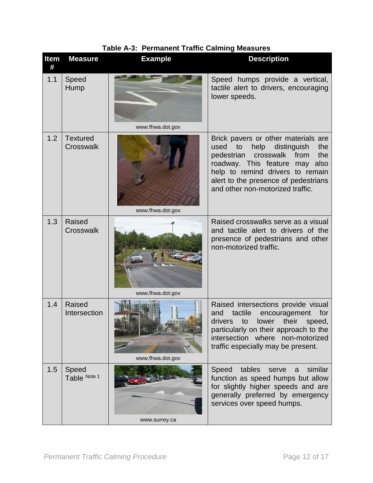| Item<br># | <b>Measure</b>                | <b>Example</b>   | <b>Description</b>                                                                                                                                                                                                                                                             |
|-----------|-------------------------------|------------------|--------------------------------------------------------------------------------------------------------------------------------------------------------------------------------------------------------------------------------------------------------------------------------|
| 1.1       | Speed<br>Hump                 | www.fhwa.dot.gov | Speed humps provide a vertical,<br>tactile alert to drivers, encouraging<br>lower speeds.                                                                                                                                                                                      |
| 1.2       | <b>Textured</b><br>Crosswalk  | www.fhwa.dot.gov | Brick pavers or other materials are<br>help<br>distinguish<br>to<br>the<br>used<br>pedestrian<br>from<br>the<br>crosswalk<br>roadway. This feature<br>may also<br>help to remind drivers to remain<br>alert to the presence of pedestrians<br>and other non-motorized traffic. |
| 1.3       | <b>Raised</b><br>Crosswalk    | www.fhwa.dot.gov | Raised crosswalks serve as a visual<br>and tactile alert to drivers of the<br>presence of pedestrians and other<br>non-motorized traffic.                                                                                                                                      |
| 1.4       | <b>Raised</b><br>Intersection | www.fhwa.dot.gov | Raised intersections provide visual<br>and<br>tactile<br>encouragement<br>for<br>drivers<br>their<br>to<br>lower<br>speed,<br>particularly on their approach to the<br>intersection where non-motorized<br>traffic especially may be present.                                  |
| 1.5       | Speed<br>Table Note 1         | www.surrey.ca    | Speed tables<br>similar<br>serve<br>a<br>function as speed humps but allow<br>for slightly higher speeds and are<br>generally preferred by emergency<br>services over speed humps.                                                                                             |

**Table A-3: Permanent Traffic Calming Measures**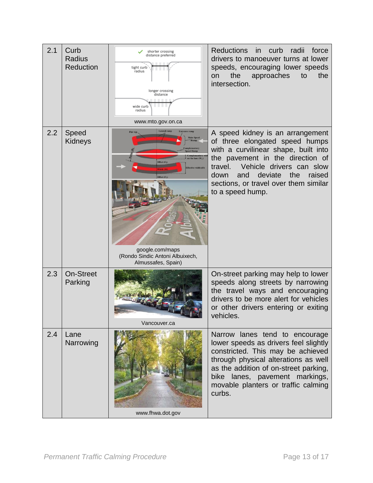| 2.1 | Curb<br><b>Radius</b><br><b>Reduction</b> | shorter crossing<br>distance preferred<br>tight curb<br>radius<br>longer crossing<br>distance<br>wide curb<br>radius<br>www.mto.gov.on.ca                                                                                                       | <b>Reductions</b><br>in<br>curb<br>radii<br>force<br>drivers to manoeuver turns at lower<br>speeds, encouraging lower speeds<br>the<br>approaches<br>to<br>the<br>on<br>intersection.                                                                                                         |
|-----|-------------------------------------------|-------------------------------------------------------------------------------------------------------------------------------------------------------------------------------------------------------------------------------------------------|-----------------------------------------------------------------------------------------------------------------------------------------------------------------------------------------------------------------------------------------------------------------------------------------------|
| 2.2 | Speed<br><b>Kidneys</b>                   | <b>Lateral ramp</b><br><b>Entrance ramp</b><br><b>Flat top</b><br>ed Hump<br>Complementary<br>on the lane (W <sub>C</sub> )<br>Offset $(O_i)$<br>ffective width (O)<br>google.com/maps<br>(Rondo Sindic Antoni Albuixech,<br>Almussafes, Spain) | A speed kidney is an arrangement<br>of three elongated speed humps<br>with a curvilinear shape, built into<br>the pavement in the direction of<br>Vehicle drivers can slow<br>travel.<br>deviate<br>the<br>raised<br>and<br>down<br>sections, or travel over them similar<br>to a speed hump. |
| 2.3 | <b>On-Street</b><br>Parking               | Vancouver.ca                                                                                                                                                                                                                                    | On-street parking may help to lower<br>speeds along streets by narrowing<br>the travel ways and encouraging<br>drivers to be more alert for vehicles<br>or other drivers entering or exiting<br>vehicles.                                                                                     |
| 2.4 | Lane<br>Narrowing                         | www.fhwa.dot.gov                                                                                                                                                                                                                                | Narrow lanes tend to encourage<br>lower speeds as drivers feel slightly<br>constricted. This may be achieved<br>through physical alterations as well<br>as the addition of on-street parking,<br>lanes, pavement markings,<br>bike<br>movable planters or traffic calming<br>curbs.           |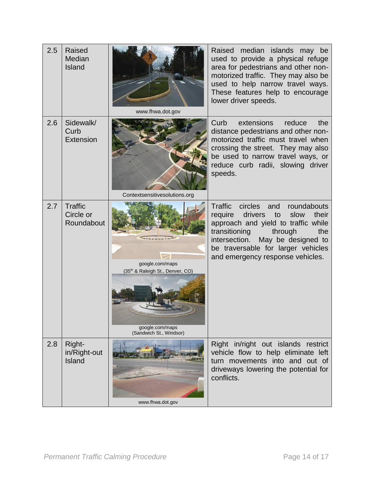| 2.5 | <b>Raised</b><br>Median<br>Island         | www.fhwa.dot.gov                                                                                  | Raised median islands may be<br>used to provide a physical refuge<br>area for pedestrians and other non-<br>motorized traffic. They may also be<br>used to help narrow travel ways.<br>These features help to encourage<br>lower driver speeds.                                   |
|-----|-------------------------------------------|---------------------------------------------------------------------------------------------------|-----------------------------------------------------------------------------------------------------------------------------------------------------------------------------------------------------------------------------------------------------------------------------------|
| 2.6 | Sidewalk/<br>Curb<br>Extension            | Contextsensitivesolutions.org                                                                     | extensions<br>Curb<br>reduce<br>the<br>distance pedestrians and other non-<br>motorized traffic must travel when<br>crossing the street. They may also<br>be used to narrow travel ways, or<br>reduce curb radii, slowing driver<br>speeds.                                       |
| 2.7 | <b>Traffic</b><br>Circle or<br>Roundabout | google.com/maps<br>(35th & Raleigh St., Denver, CO)<br>google.com/maps<br>(Sandwich St., Windsor) | <b>Traffic</b><br>circles and<br>roundabouts<br>drivers to<br>their<br>require<br>slow<br>approach and yield to traffic while<br>transitioning<br>through<br>the<br>May be designed to<br>intersection.<br>be traversable for larger vehicles<br>and emergency response vehicles. |
| 2.8 | Right-<br>in/Right-out<br><b>Island</b>   | www.fhwa.dot.gov                                                                                  | Right in/right out islands restrict<br>vehicle flow to help eliminate left<br>turn movements into and out of<br>driveways lowering the potential for<br>conflicts.                                                                                                                |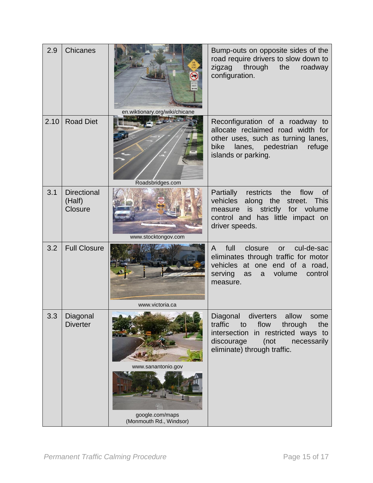| 2.9  | <b>Chicanes</b>                                | en.wiktionary.org/wiki/chicane        | Bump-outs on opposite sides of the<br>road require drivers to slow down to<br>zigzag<br>through<br>the<br>roadway<br>configuration.                                                           |
|------|------------------------------------------------|---------------------------------------|-----------------------------------------------------------------------------------------------------------------------------------------------------------------------------------------------|
| 2.10 | <b>Road Diet</b>                               | Roadsbridges.com                      | Reconfiguration of a roadway to<br>allocate reclaimed road width for<br>other uses, such as turning lanes,<br>lanes,<br>bike<br>pedestrian<br>refuge<br>islands or parking.                   |
| 3.1  | <b>Directional</b><br>(Half)<br><b>Closure</b> | www.stocktongov.com                   | restricts the<br>flow<br><b>Partially</b><br><b>of</b><br>vehicles<br>along the<br>street. This<br>strictly for volume<br>is<br>measure<br>control and has little impact on<br>driver speeds. |
| 3.2  | <b>Full Closure</b>                            | www.victoria.ca                       | full<br>cul-de-sac<br>closure<br>A<br>or<br>eliminates through traffic for motor<br>vehicles at one end of a road,<br>control<br>serving<br>volume<br>as<br>a -<br>measure.                   |
| 3.3  | Diagonal<br><b>Diverter</b>                    | www.sanantonio.gov<br>google.com/maps | Diagonal diverters allow<br>some<br>flow<br>traffic<br>through<br>the<br>to<br>intersection in restricted ways to<br>(not<br>discourage<br>necessarily<br>eliminate) through traffic.         |
|      |                                                | (Monmouth Rd., Windsor)               |                                                                                                                                                                                               |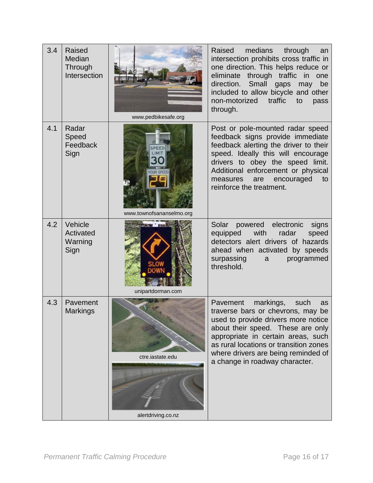| 3.4 | <b>Raised</b><br>Median<br>Through<br>Intersection | www.pedbikesafe.org                    | Raised<br>medians<br>through<br>an<br>intersection prohibits cross traffic in<br>one direction. This helps reduce or<br>eliminate through traffic in<br>one<br>direction.<br>Small<br>gaps<br>be<br>may<br>included to allow bicycle and other<br>non-motorized<br>traffic<br>to<br>pass<br>through.          |
|-----|----------------------------------------------------|----------------------------------------|---------------------------------------------------------------------------------------------------------------------------------------------------------------------------------------------------------------------------------------------------------------------------------------------------------------|
| 4.1 | Radar<br>Speed<br>Feedback<br>Sign                 | www.townofsananselmo.org               | Post or pole-mounted radar speed<br>feedback signs provide immediate<br>feedback alerting the driver to their<br>speed. Ideally this will encourage<br>drivers to obey the speed limit.<br>Additional enforcement or physical<br>encouraged<br>measures<br>are<br>to<br>reinforce the treatment.              |
| 4.2 | Vehicle<br>Activated<br>Warning<br>Sign            | unipartdorman.com                      | powered electronic<br>Solar<br>signs<br>with<br>radar<br>speed<br>equipped<br>detectors alert drivers of hazards<br>ahead when activated by speeds<br>surpassing<br>programmed<br>a<br>threshold.                                                                                                             |
| 4.3 | Pavement<br><b>Markings</b>                        | ctre.iastate.edu<br>alertdriving.co.nz | markings,<br>Pavement<br>such<br>as<br>traverse bars or chevrons, may be<br>used to provide drivers more notice<br>about their speed. These are only<br>appropriate in certain areas, such<br>as rural locations or transition zones<br>where drivers are being reminded of<br>a change in roadway character. |